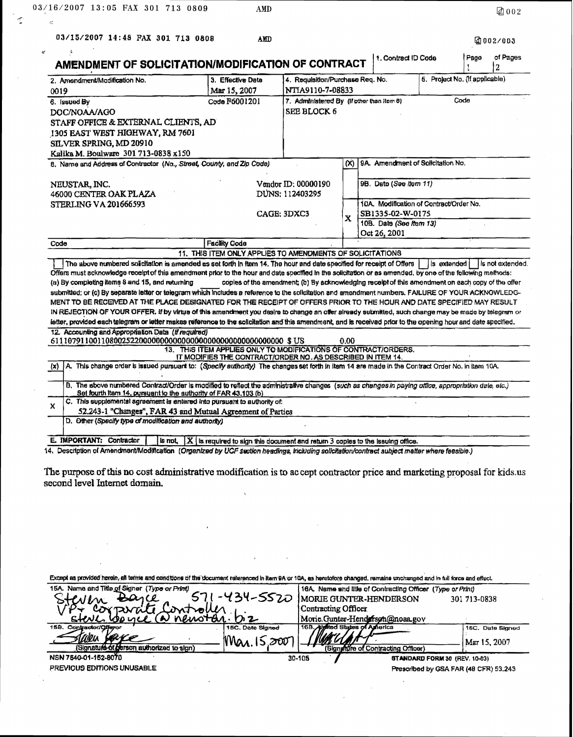$\mathbf{r}$ 

 $\leq$ 

| 2. Amendment/Madification No.                                                                                                                                                                                                                                                                                                                                                                                                                                                                                                                                                                                                                                                                                                                                                                                                                                                                                                                                  | 3. Effective Date                                                                                                              | AMENDMENT OF SOLICITATION/MODIFICATION OF CONTRACT<br>5. Project No. (If applicable)<br>4. Requisition/Purchase Req. No.<br>NTIA9110-7-08833 |                                         |                                   |            | 2                |  |
|----------------------------------------------------------------------------------------------------------------------------------------------------------------------------------------------------------------------------------------------------------------------------------------------------------------------------------------------------------------------------------------------------------------------------------------------------------------------------------------------------------------------------------------------------------------------------------------------------------------------------------------------------------------------------------------------------------------------------------------------------------------------------------------------------------------------------------------------------------------------------------------------------------------------------------------------------------------|--------------------------------------------------------------------------------------------------------------------------------|----------------------------------------------------------------------------------------------------------------------------------------------|-----------------------------------------|-----------------------------------|------------|------------------|--|
| 0019                                                                                                                                                                                                                                                                                                                                                                                                                                                                                                                                                                                                                                                                                                                                                                                                                                                                                                                                                           | Mar 15, 2007                                                                                                                   |                                                                                                                                              |                                         |                                   |            |                  |  |
| 6. Issued By                                                                                                                                                                                                                                                                                                                                                                                                                                                                                                                                                                                                                                                                                                                                                                                                                                                                                                                                                   | Code F6001201                                                                                                                  | Code<br>7. Administered By (If other than item 6)                                                                                            |                                         |                                   |            |                  |  |
| DOC/NOAA/AGO                                                                                                                                                                                                                                                                                                                                                                                                                                                                                                                                                                                                                                                                                                                                                                                                                                                                                                                                                   |                                                                                                                                | <b>SEE BLOCK 6</b>                                                                                                                           |                                         |                                   |            |                  |  |
| STAFF OFFICE & EXTERNAL CLIENTS, AD                                                                                                                                                                                                                                                                                                                                                                                                                                                                                                                                                                                                                                                                                                                                                                                                                                                                                                                            |                                                                                                                                |                                                                                                                                              |                                         |                                   |            |                  |  |
| 1305 EAST WEST HIGHWAY, RM 7601                                                                                                                                                                                                                                                                                                                                                                                                                                                                                                                                                                                                                                                                                                                                                                                                                                                                                                                                |                                                                                                                                |                                                                                                                                              |                                         |                                   |            |                  |  |
| SILVER SPRING, MD 20910                                                                                                                                                                                                                                                                                                                                                                                                                                                                                                                                                                                                                                                                                                                                                                                                                                                                                                                                        |                                                                                                                                |                                                                                                                                              |                                         |                                   |            |                  |  |
| Kalika M. Boulware 301 713-0838 x150                                                                                                                                                                                                                                                                                                                                                                                                                                                                                                                                                                                                                                                                                                                                                                                                                                                                                                                           |                                                                                                                                |                                                                                                                                              |                                         |                                   |            |                  |  |
| 8. Name and Address of Contractor (No., Street, County, and Zip Code)                                                                                                                                                                                                                                                                                                                                                                                                                                                                                                                                                                                                                                                                                                                                                                                                                                                                                          |                                                                                                                                | $\infty$                                                                                                                                     |                                         | 9A. Amendment of Solicitation No. |            |                  |  |
| NEUSTAR, INC.                                                                                                                                                                                                                                                                                                                                                                                                                                                                                                                                                                                                                                                                                                                                                                                                                                                                                                                                                  | Vendor ID: 00000190                                                                                                            |                                                                                                                                              |                                         | 9B. Date (See Item 11)            |            |                  |  |
| 46000 CENTER OAK PLAZA                                                                                                                                                                                                                                                                                                                                                                                                                                                                                                                                                                                                                                                                                                                                                                                                                                                                                                                                         |                                                                                                                                | DUNS: 112403295                                                                                                                              |                                         |                                   |            |                  |  |
| <b>STERLING VA 201666593</b>                                                                                                                                                                                                                                                                                                                                                                                                                                                                                                                                                                                                                                                                                                                                                                                                                                                                                                                                   |                                                                                                                                |                                                                                                                                              | 10A. Modification of Contract/Order No. |                                   |            |                  |  |
|                                                                                                                                                                                                                                                                                                                                                                                                                                                                                                                                                                                                                                                                                                                                                                                                                                                                                                                                                                |                                                                                                                                | CAGE: 3DXC3                                                                                                                                  |                                         | SB1335-02-W-0175                  |            |                  |  |
|                                                                                                                                                                                                                                                                                                                                                                                                                                                                                                                                                                                                                                                                                                                                                                                                                                                                                                                                                                |                                                                                                                                |                                                                                                                                              | $\mathbf x$<br>10B. Date (See Item 13)  |                                   |            |                  |  |
|                                                                                                                                                                                                                                                                                                                                                                                                                                                                                                                                                                                                                                                                                                                                                                                                                                                                                                                                                                |                                                                                                                                |                                                                                                                                              |                                         | Oct 26, 2001                      |            |                  |  |
| Code                                                                                                                                                                                                                                                                                                                                                                                                                                                                                                                                                                                                                                                                                                                                                                                                                                                                                                                                                           | <b>Facility Code</b>                                                                                                           |                                                                                                                                              |                                         |                                   |            |                  |  |
|                                                                                                                                                                                                                                                                                                                                                                                                                                                                                                                                                                                                                                                                                                                                                                                                                                                                                                                                                                | 11. THIS ITEM ONLY APPLIES TO AMENDMENTS OF SOLICITATIONS                                                                      |                                                                                                                                              |                                         |                                   |            |                  |  |
|                                                                                                                                                                                                                                                                                                                                                                                                                                                                                                                                                                                                                                                                                                                                                                                                                                                                                                                                                                |                                                                                                                                |                                                                                                                                              |                                         |                                   |            |                  |  |
| The above numbered solicitation is amended as set forth in item 14. The hour and date specified for receipt of Offers                                                                                                                                                                                                                                                                                                                                                                                                                                                                                                                                                                                                                                                                                                                                                                                                                                          |                                                                                                                                |                                                                                                                                              |                                         |                                   | s extended | ls not extended. |  |
|                                                                                                                                                                                                                                                                                                                                                                                                                                                                                                                                                                                                                                                                                                                                                                                                                                                                                                                                                                |                                                                                                                                | copies of the amendment; (b) By acknowledging receipt of this amendment on each copy of the offer                                            |                                         |                                   |            |                  |  |
|                                                                                                                                                                                                                                                                                                                                                                                                                                                                                                                                                                                                                                                                                                                                                                                                                                                                                                                                                                |                                                                                                                                |                                                                                                                                              |                                         |                                   |            |                  |  |
|                                                                                                                                                                                                                                                                                                                                                                                                                                                                                                                                                                                                                                                                                                                                                                                                                                                                                                                                                                |                                                                                                                                |                                                                                                                                              |                                         |                                   |            |                  |  |
|                                                                                                                                                                                                                                                                                                                                                                                                                                                                                                                                                                                                                                                                                                                                                                                                                                                                                                                                                                |                                                                                                                                |                                                                                                                                              |                                         |                                   |            |                  |  |
|                                                                                                                                                                                                                                                                                                                                                                                                                                                                                                                                                                                                                                                                                                                                                                                                                                                                                                                                                                |                                                                                                                                |                                                                                                                                              |                                         |                                   |            |                  |  |
|                                                                                                                                                                                                                                                                                                                                                                                                                                                                                                                                                                                                                                                                                                                                                                                                                                                                                                                                                                |                                                                                                                                |                                                                                                                                              |                                         |                                   |            |                  |  |
|                                                                                                                                                                                                                                                                                                                                                                                                                                                                                                                                                                                                                                                                                                                                                                                                                                                                                                                                                                | 13. THIS ITEM APPLIES ONLY TO MODIFICATIONS OF CONTRACT/ORDERS.<br>IT MODIFIES THE CONTRACT/ORDER NO. AS DESCRIBED IN ITEM 14. |                                                                                                                                              | 0.00                                    |                                   |            |                  |  |
| A. This change order is issued pursuant to: (Specify authority) The changes set forth in item 14 are made in the Contract Order No. in item 10A.                                                                                                                                                                                                                                                                                                                                                                                                                                                                                                                                                                                                                                                                                                                                                                                                               |                                                                                                                                |                                                                                                                                              |                                         |                                   |            |                  |  |
| B. The above numbered Contract/Order is modified to reflect the administrative changes (such as changes in paying office, appropriation date, etc.)<br>Set fourth item 14, pursuant to the authority of FAR 43.103 (b)                                                                                                                                                                                                                                                                                                                                                                                                                                                                                                                                                                                                                                                                                                                                         |                                                                                                                                |                                                                                                                                              |                                         |                                   |            |                  |  |
| Offers must acknowledge receipt of this amendment prior to the hour and date specified in the solicitation or as amended, by one of the following methods:<br>(a) By completing items 8 and 15, and returning<br>submitted; or (c) By separate letter or telegram which includes a reference to the solicitation and amendment numbers. FAILURE OF YOUR ACKNOWLEDG-<br>MENT TO BE RECEIVED AT THE PLACE DESIGNATED FOR THE RECEIPT OF OFFERS PRIOR TO THE HOUR AND DATE SPECIFIED MAY RESULT<br>IN REJECTION OF YOUR OFFER. If by virtue of this amendment you desire to change an offer already submitted, such change may be made by telegram or<br>letter, provided each telegram or letter makes reference to the solicitation and this amendment, and is received prior to the opening hour and date specified.<br>12. Accounting and Appropriation Data (if required)<br>(x)<br>C. This supplemental agreement is entered into pursuant to authority of: |                                                                                                                                |                                                                                                                                              |                                         |                                   |            |                  |  |
| X<br>52.243-1 "Changes", FAR 43 and Mutual Agreement of Parties<br>D. Other (Spacify type of modification and authority)                                                                                                                                                                                                                                                                                                                                                                                                                                                                                                                                                                                                                                                                                                                                                                                                                                       |                                                                                                                                |                                                                                                                                              |                                         |                                   |            |                  |  |

 $AMD$ 

团002

The purpose of this no cost administrative modification is to accept contractor price and marketing proposal for kids.us second level Internet domain.

| Except as provided herein, all terms and conditions of the document referenced in item 9A or 10A, as heretotore changed, remains unchanged and in full force and effect. |                  |                                                            |                                       |  |  |
|--------------------------------------------------------------------------------------------------------------------------------------------------------------------------|------------------|------------------------------------------------------------|---------------------------------------|--|--|
| 15A. Name and Title of Signer (Type or Print)                                                                                                                            |                  | 16A. Name and litte of Contracting Officer (Type or Print) |                                       |  |  |
| Barce<br>teven                                                                                                                                                           | -434-5520        | MORIE GUNTER-HENDERSON                                     | 301 713-0838                          |  |  |
| corporate Controller                                                                                                                                                     |                  | Contracting Officer                                        |                                       |  |  |
| stere conce (a) newotar. biz                                                                                                                                             |                  | Morie Gunter-Henderson@noaa.gov                            |                                       |  |  |
| 15B. Contractor/Qfferor                                                                                                                                                  | 15C. Date Signed | 16B. Algited States of America                             | 16C. Date Signed                      |  |  |
| llillis                                                                                                                                                                  | "Nar.<br>zw      |                                                            | Mar 15, 2007                          |  |  |
| (Signature of person authorized to sign)                                                                                                                                 |                  | (Signaldre of Contracting Officer)                         |                                       |  |  |
| NSN 7540-01-152-8070                                                                                                                                                     |                  | 30-105                                                     | <b>STANDARD FORM 30 (REV. 10-83)</b>  |  |  |
| PREVIOUS EDITIONS UNUSABLE                                                                                                                                               |                  |                                                            | Prescribed by GSA FAR (48 CFR) 53.243 |  |  |

 $\bar{\psi}$ 

 $\bar{\beta}$